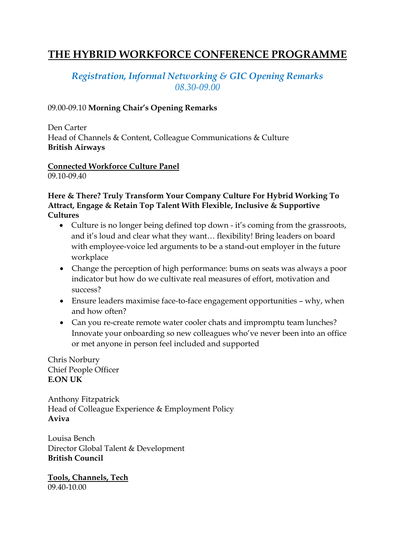# **THE HYBRID WORKFORCE CONFERENCE PROGRAMME**

## *Registration, Informal Networking & GIC Opening Remarks 08.30-09.00*

#### 09.00-09.10 **Morning Chair's Opening Remarks**

Den Carter Head of Channels & Content, Colleague Communications & Culture **British Airways**

#### **Connected Workforce Culture Panel** 09.10-09.40

#### **Here & There? Truly Transform Your Company Culture For Hybrid Working To Attract, Engage & Retain Top Talent With Flexible, Inclusive & Supportive Cultures**

- Culture is no longer being defined top down it's coming from the grassroots, and it's loud and clear what they want… flexibility! Bring leaders on board with employee-voice led arguments to be a stand-out employer in the future workplace
- Change the perception of high performance: bums on seats was always a poor indicator but how do we cultivate real measures of effort, motivation and success?
- Ensure leaders maximise face-to-face engagement opportunities why, when and how often?
- Can you re-create remote water cooler chats and impromptu team lunches? Innovate your onboarding so new colleagues who've never been into an office or met anyone in person feel included and supported

Chris Norbury Chief People Officer **E.ON UK**

Anthony Fitzpatrick Head of Colleague Experience & Employment Policy **Aviva**

Louisa Bench Director Global Talent & Development **British Council**

**Tools, Channels, Tech** 09.40-10.00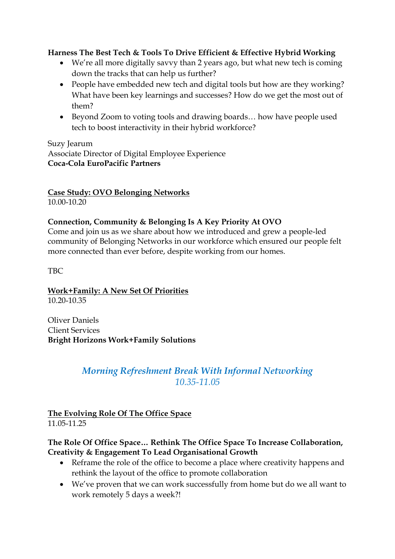#### **Harness The Best Tech & Tools To Drive Efficient & Effective Hybrid Working**

- We're all more digitally savvy than 2 years ago, but what new tech is coming down the tracks that can help us further?
- People have embedded new tech and digital tools but how are they working? What have been key learnings and successes? How do we get the most out of them?
- Beyond Zoom to voting tools and drawing boards... how have people used tech to boost interactivity in their hybrid workforce?

#### Suzy Jearum

Associate Director of Digital Employee Experience **Coca-Cola EuroPacific Partners**

**Case Study: OVO Belonging Networks**  10.00-10.20

## **Connection, Community & Belonging Is A Key Priority At OVO**

Come and join us as we share about how we introduced and grew a people-led community of Belonging Networks in our workforce which ensured our people felt more connected than ever before, despite working from our homes.

TBC

**Work+Family: A New Set Of Priorities** 10.20-10.35

Oliver Daniels Client Services **Bright Horizons Work+Family Solutions**

## *Morning Refreshment Break With Informal Networking 10.35-11.05*

## **The Evolving Role Of The Office Space**  11.05-11.25

#### **The Role Of Office Space… Rethink The Office Space To Increase Collaboration, Creativity & Engagement To Lead Organisational Growth**

- Reframe the role of the office to become a place where creativity happens and rethink the layout of the office to promote collaboration
- We've proven that we can work successfully from home but do we all want to work remotely 5 days a week?!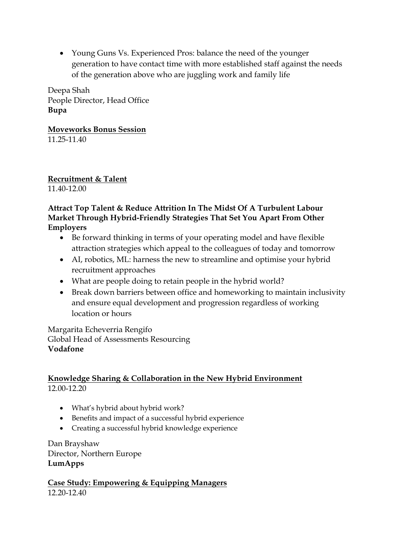• Young Guns Vs. Experienced Pros: balance the need of the younger generation to have contact time with more established staff against the needs of the generation above who are juggling work and family life

Deepa Shah People Director, Head Office **Bupa**

**Moveworks Bonus Session** 11.25-11.40

**Recruitment & Talent** 11.40-12.00

#### **Attract Top Talent & Reduce Attrition In The Midst Of A Turbulent Labour Market Through Hybrid-Friendly Strategies That Set You Apart From Other Employers**

- Be forward thinking in terms of your operating model and have flexible attraction strategies which appeal to the colleagues of today and tomorrow
- AI, robotics, ML: harness the new to streamline and optimise your hybrid recruitment approaches
- What are people doing to retain people in the hybrid world?
- Break down barriers between office and homeworking to maintain inclusivity and ensure equal development and progression regardless of working location or hours

Margarita Echeverria Rengifo Global Head of Assessments Resourcing **Vodafone**

#### **Knowledge Sharing & Collaboration in the New Hybrid Environment** 12.00-12.20

- What's hybrid about hybrid work?
- Benefits and impact of a successful hybrid experience
- Creating a successful hybrid knowledge experience

Dan Brayshaw Director, Northern Europe **LumApps**

**Case Study: Empowering & Equipping Managers** 12.20-12.40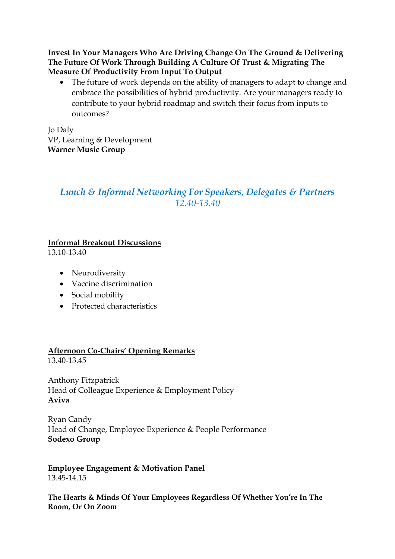**Invest In Your Managers Who Are Driving Change On The Ground & Delivering The Future Of Work Through Building A Culture Of Trust & Migrating The Measure Of Productivity From Input To Output**

• The future of work depends on the ability of managers to adapt to change and embrace the possibilities of hybrid productivity. Are your managers ready to contribute to your hybrid roadmap and switch their focus from inputs to outcomes?

Jo Daly VP, Learning & Development **Warner Music Group**

## *Lunch & Informal Networking For Speakers, Delegates & Partners 12.40-13.40*

#### **Informal Breakout Discussions**

13.10-13.40

- Neurodiversity
- Vaccine discrimination
- Social mobility
- Protected characteristics

# **Afternoon Co-Chairs' Opening Remarks**

13.40-13.45

Anthony Fitzpatrick Head of Colleague Experience & Employment Policy **Aviva**

Ryan Candy Head of Change, Employee Experience & People Performance **Sodexo Group**

**Employee Engagement & Motivation Panel** 13.45-14.15

**The Hearts & Minds Of Your Employees Regardless Of Whether You're In The Room, Or On Zoom**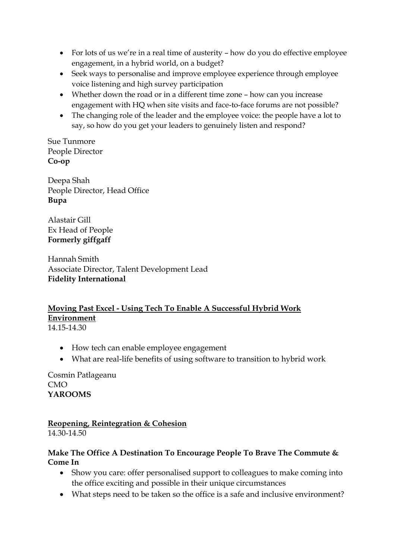- For lots of us we're in a real time of austerity how do you do effective employee engagement, in a hybrid world, on a budget?
- Seek ways to personalise and improve employee experience through employee voice listening and high survey participation
- Whether down the road or in a different time zone how can you increase engagement with HQ when site visits and face-to-face forums are not possible?
- The changing role of the leader and the employee voice: the people have a lot to say, so how do you get your leaders to genuinely listen and respond?

Sue Tunmore People Director **Co-op**

Deepa Shah People Director, Head Office **Bupa**

Alastair Gill Ex Head of People **Formerly giffgaff**

Hannah Smith Associate Director, Talent Development Lead **Fidelity International**

#### **Moving Past Excel - Using Tech To Enable A Successful Hybrid Work Environment** 14.15-14.30

- - How tech can enable employee engagement
	- What are real-life benefits of using software to transition to hybrid work

Cosmin Patlageanu CMO **YAROOMS**

**Reopening, Reintegration & Cohesion** 14.30-14.50

#### **Make The Office A Destination To Encourage People To Brave The Commute & Come In**

- Show you care: offer personalised support to colleagues to make coming into the office exciting and possible in their unique circumstances
- What steps need to be taken so the office is a safe and inclusive environment?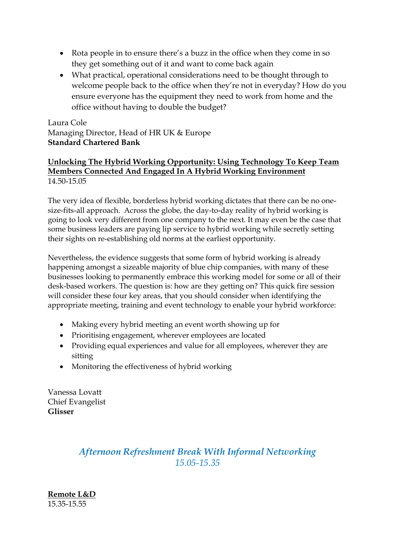- Rota people in to ensure there's a buzz in the office when they come in so they get something out of it and want to come back again
- What practical, operational considerations need to be thought through to welcome people back to the office when they're not in everyday? How do you ensure everyone has the equipment they need to work from home and the office without having to double the budget?

Laura Cole Managing Director, Head of HR UK & Europe **Standard Chartered Bank**

#### **Unlocking The Hybrid Working Opportunity: Using Technology To Keep Team Members Connected And Engaged In A Hybrid Working Environment** 14.50-15.05

The very idea of flexible, borderless hybrid working dictates that there can be no onesize-fits-all approach. Across the globe, the day-to-day reality of hybrid working is going to look very different from one company to the next. It may even be the case that some business leaders are paying lip service to hybrid working while secretly setting their sights on re-establishing old norms at the earliest opportunity.

Nevertheless, the evidence suggests that some form of hybrid working is already happening amongst a sizeable majority of blue chip companies, with many of these businesses looking to permanently embrace this working model for some or all of their desk-based workers. The question is: how are they getting on? This quick fire session will consider these four key areas, that you should consider when identifying the appropriate meeting, training and event technology to enable your hybrid workforce:

- Making every hybrid meeting an event worth showing up for
- Prioritising engagement, wherever employees are located
- Providing equal experiences and value for all employees, wherever they are sitting
- Monitoring the effectiveness of hybrid working

Vanessa Lovatt Chief Evangelist **Glisser**

# *Afternoon Refreshment Break With Informal Networking 15.05-15.35*

**Remote L&D** 15.35-15.55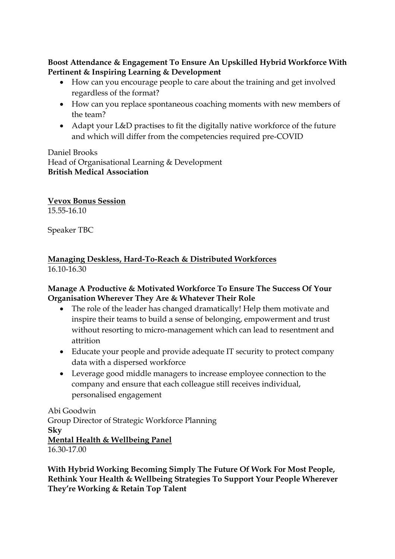**Boost Attendance & Engagement To Ensure An Upskilled Hybrid Workforce With Pertinent & Inspiring Learning & Development** 

- How can you encourage people to care about the training and get involved regardless of the format?
- How can you replace spontaneous coaching moments with new members of the team?
- Adapt your L&D practises to fit the digitally native workforce of the future and which will differ from the competencies required pre-COVID

Daniel Brooks Head of Organisational Learning & Development **British Medical Association**

**Vevox Bonus Session** 15.55-16.10

Speaker TBC

## **Managing Deskless, Hard-To-Reach & Distributed Workforces** 16.10-16.30

## **Manage A Productive & Motivated Workforce To Ensure The Success Of Your Organisation Wherever They Are & Whatever Their Role**

- The role of the leader has changed dramatically! Help them motivate and inspire their teams to build a sense of belonging, empowerment and trust without resorting to micro-management which can lead to resentment and attrition
- Educate your people and provide adequate IT security to protect company data with a dispersed workforce
- Leverage good middle managers to increase employee connection to the company and ensure that each colleague still receives individual, personalised engagement

Abi Goodwin Group Director of Strategic Workforce Planning **Sky Mental Health & Wellbeing Panel** 16.30-17.00

**With Hybrid Working Becoming Simply The Future Of Work For Most People, Rethink Your Health & Wellbeing Strategies To Support Your People Wherever They're Working & Retain Top Talent**